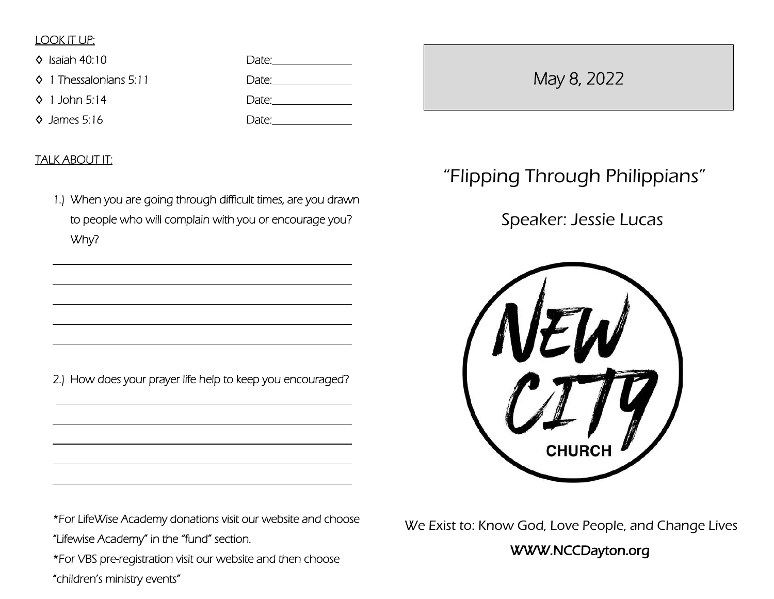## LOOK IT UP:

 $\overline{a}$ 

 $\overline{a}$ 

 $\overline{a}$ 

 $\overline{a}$ 

 $\overline{a}$ 

 $\overline{a}$ 

 $\overline{a}$ 

 $\overline{a}$ 

 $\overline{a}$ 

| $\Diamond$ Isaiah 40:10         | Date: |
|---------------------------------|-------|
| $\lozenge$ 1 Thessalonians 5:11 | Date: |
| $\lozenge$ 1 John 5:14          | Date: |
| $\Diamond$ James 5:16           | Date: |

## TALK ABOUT IT:

1.) When you are going through difficult times, are you drawn to people who will complain with you or encourage you? Why?

2.) How does your prayer life help to keep you encouraged?

\*For LifeWise Academy donations visit our website and choose "Lifewise Academy" in the "fund" section.

\*For VBS pre-registration visit our website and then choose

"children's ministry events"

# May 8, 2022

# "Flipping Through Philippians"

## Speaker: Jessie Lucas



We Exist to: Know God, Love People, and Change Lives

WWW.NCCDayton.org